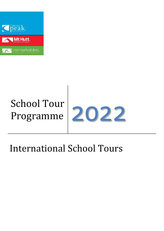

# School Tour



# International School Tours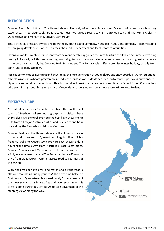# **INTRODUCTION**

Coronet Peak, Mt Hutt and The Remarkables collectively offer the ultimate New Zealand skiing and snowboarding experience. Three distinct ski areas located near two unique resort towns - Coronet Peak and The Remarkables in Queenstown and Mt Hutt in Methven, Canterbury.

These three ski areas are owned and operated by South Island Company, NZSki Ltd (NZSki). The company is committed to the on-going development of the ski areas, their industry partners and local resort communities.

Extensive capital investment in recent years has considerably upgraded the infrastructure at all three mountains. Investing heavily in its staff, facilities, snowmaking, grooming, transport, and rental equipment to ensure that our guest experience is the best it can possibly be. Coronet Peak, Mt Hutt and The Remarkables offer a premier winter holiday, usually from early June to early October.

NZSki is committed to nurturing and developing the next generation of young skiers and snowboarders. Our international schools ski and snowboard programme introduces thousands of students each season to winter sports and our wonderful alpine environment in New Zealand. This document will provide some useful information for School Group Coordinators who are thinking about bringing a group of secondary school students on a snow sports trip to New Zealand.

# **WHERE WE ARE**

Mt Hutt ski area is a 40-minute drive from the small resort town of Methven where most groups and visitors base themselves. Christchurch provides the best flight accessto Mt Hutt from all major Australian cities and is an easy one-hour drive along the Canterbury plains to Methven.

Coronet Peak and The Remarkables are the closest ski areas to the world class resort Queenstown. Regular direct flights from Australia to Queenstown provide easy access only 3 hours flight time away from Australia's East Coast cities. Coronet Peak is a short 30-minute drive from Queenstown on a fully sealed access road and The Remarkables is a 45 minute drive from Queenstown, with an access road sealed most of the way up.

With NZSki you can even mix and match and ski/snowboard all three mountains during your trip! The drive time between Methven and Queenstown is approximately 5 hours on one of the most scenic roads in New Zealand. We recommend this drive is done during daylight hours to take advantage of the stunning views along the way.

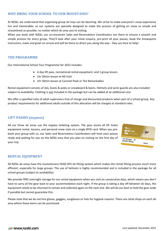# **WHY BRING YOUR SCHOOL TO OUR MOUNTAINS?**

At NZSki, we understand that organising group ski trips can be daunting. We strive to make everyone's snow experience fun and memorable, so our systems are specially designed to make the process of getting on snow as simple and streamlined as possible, no matter which ski area you're visiting.

When you book with NZSki, our on-mountain Sales and Reservations Coordinators are there to ensure a smooth and simple process for every group. They'll look after your initial enquiry, pre-print all your passes, book the Snowsports instructors, meet and greet on arrival and will be there to direct you along the way - they are here to help!

# **THE PROGRAMME**

Our International School Tour Programme for 2022 includes:

- A day lift pass, recreational rental equipment, and 1 group lesson.
- 1hr 50min lesson at Mt Hutt
- 1hr 50min lesson at Coronet Peak or The Remarkables

Rental equipment consists of skis, boots & poles or snowboard & boots. Helmets and wrist guards are also included subject to availability. Clothing is not included in the package but can be added at an additional cost.

We offer a specified ratio of adult supervisors free of charge and discounted products when part of a school group. Any product requirements for additional adults outside of this allocation will be charged at standard rates.

# **LIFT PASSES (***mypass***)**

All our three ski areas use the *mypass* ticketing system. The pass stores all lift ticket, equipment rental, lessons, and personal snow stats on a single RFID card. When you prebook your group with us, our Sales and Reservations Coordinators will have your passes ready and waiting for you on the NZSki area that you plan on visiting on the first day of your trip.



# **RENTAL EQUIPMENT**

All NZSki ski areas have the revolutionary HEAD BYS ski fitting system which makes the rental fitting process much more efficient, especially for large groups. The use of helmets is highly recommended and is included in the package for all school groups (subject to availability).

We provide FREE overnight storage for our rental equipment when you visit on consecutive days, which means you don't have to carry all the gear back to your accommodation each night. If the group is taking a day off between ski days, the equipment needs to be returned to rentals and collected again on the next visit. We will do our best to hold the gear aside if possible but cannot guarantee this.

Please note that we do not hire gloves, goggles, sunglasses or hats for hygiene reasons. There are retail shops on each ski area where these items can be purchased.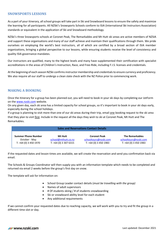# **SNOWSPORTS LESSONS**

As a part of your itinerary, all school groups will take part in Ski and Snowboard lessons to ensure the safety and maximize the learning for all participants. All NZSki's Snowsports Schools conform to ISIA (International Ski Instructors Association) standards or equivalent in the application of Ski and Snowboard methodology.

NZSki's three Snowsports schools at Coronet Peak, The Remarkables and Mt Hutt ski areas are active members of NZSIA and support these organisations and many of our staff achieve and maintain their qualifications through them. We pride ourselves on employing the world's best instructors, all of which are certified by a broad section of ISIA member organizations, bringing a global perspective to our lessons, while ensuring students receive the level of consistency and quality ISIA governance mandates.

Our instructors are qualified, many to the highest levels and many have supplemented their certification with specialist accreditations in the areas of Children's Instruction, Race, and Free-Ride, including F.I.S. licenses and credentials.

At the beginning of each season NZSki confirms instructor membership and credentials to ensure currency and proficiency. We also require all our staff to undergo a clean slate check with the NZ Police prior to commencing work.

# **MAKING A BOOKING**

Once the itinerary for a group has been planned out, you will need to book in your ski days by completing our JotForm on the [www.nzski.com](http://www.nzski.com/) website.

On any given day, each ski area has a limited capacity for school groups, so it's important to book in your ski days early, especially during the school holidays.

If a group is planning to visit more than one of our ski areas during their trip, email one booking request to the ski area that they plan to visit first. Include in the request all the days they wish to ski at Coronet Peak, Mt Hutt and The Remarkables.

| <b>Sales and Reservations Contact Details</b> |                        |                        |                        |  |  |
|-----------------------------------------------|------------------------|------------------------|------------------------|--|--|
| <b>Summer Phone Number</b>                    | Mt Hutt                | <b>Coronet Peak</b>    | <b>The Remarkables</b> |  |  |
| October - May                                 | school@mthutt.co.nz    | schooltours@nzski.com  | schooltours@nzski.com  |  |  |
| T: +64 (0) 3 450 1970                         | $T: +64(0)$ 3 307 6315 | $T: +64(0)$ 3 450 1983 | $T: +64(0)$ 3 450 1983 |  |  |

If the requested dates and lesson times are available, we will create the reservation and send you confirmation back via email.

The Schools & Groups Coordinator will then supply you with an information template which needs to be completed and returned via email 2 weeks before the group's first day on snow.

The template will ask for information on:

- School Group Leader contact details (*must be travelling with the group)*
- Names of adult supervisors
- # Of students skiing / # of students snowboarding
- Ski or snowboard ability level for each student
- Any additional requirements

If we cannot confirm your requested dates due to reaching capacity, we will work with you to try and fit the group in a different time slot or day.

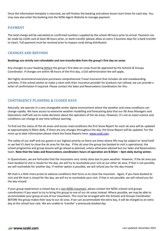Once the information template is returned, we will finalise the booking and advise lesson start times for each day. You may now also enter the booking into the NZSki Agent Website to manage payment.

# **PAYMENT**

The total charge will be calculated on confirmed numbers supplied by the school 48 hours prior to arrival. Payment can be made by credit card at least 48 hours prior, or bank transfer (please allow an extra 3 business days for a bank transfer to clear). Full payment must be received prior to mypass cards being distributed.

# **CHANGES AND REFUNDS**

# **Bookings are strictly non-refundable and non-transferable from the group's first day on snow.**

Any changes to your booking before the group's first date on snow must be approved by the Schools & Groups Coordinator. If changes are within 48 hours of the first day, a \$10 administration fee will apply.

We highly recommend everyone purchases comprehensive Travel Insurance that includes ski and snowboarding activities. If the school wishes to make a claim with their insurance provider for products not utilised, we can provide a letter of confirmation if required. Please contact the Sales and Reservations Coordinators for this.

# **CONTINGENCY PLANNING & CLOSED DAYS**

Naturally, we operate in a very changeable winter alpine environment where the weather and snow conditions can change rapidly. We have access to extensive weather modelling and forecasting data that our Ski Area Managers and Operations staff will use to make decisions about the operation of the ski areas. However, it's not an exact science and conditions can change at any time without warning.

To find out the status of the ski areas and access road conditions the first Snow Report for each ski area will be updated at approximately 6:30am daily. If there are any changes throughout the day, the Snow Report will be updated. For the most up to date information please check the Snow Reports here: [www.nzski.com](http://www.nzski.com/)

The safety of our staff and our guests is our highest priority so there are times where lifts may be subject to 'wind hold' or we feel it's best to close the ski area for the day. If the ski area the group has booked to visit is operational, the school programme and group lessons will go ahead as planned, unless otherwise advised but our Sales and Reservations team. **Note that the Sales and Reservations coordinators hours of operation are 8:30am – 4pm daily during winter.**

In Queenstown, we are fortunate that the mountains very rarely close due to poor weather. However, if the ski area you have booked to visit is closed for the day, we will try to reschedule your visit at our other ski area. If that is not possible, we will reschedule for another day. If neither option is possible, we will refund you for the day missed.

Mt Hutt is a little more prone to adverse conditions that force us to close the mountain. Again, if you have booked to visit and Mt Hutt is closed for the day, we will try to reschedule your visit. If that is not possible, we will refund you for the day missed.

If your group experiences a closed day at a non-NZSki mountain, please contact the NZSki schools and groups coordinators if you want to try to bring this group to one of our ski areas instead. Where possible, we may be able to accommodate your group at one of our mountains. This must be arranged with the Schools and Groups Coordinator BEFORE the group makes their way to our ski area. If we can accommodate the extra day, it will be charged as an extra day at the school tour rate. We are unable to 'transfer' a previously booked day.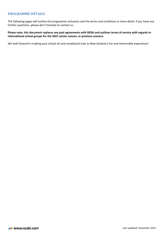# **PROGRAMME DETAILS**

The following pages will outline the programme inclusions and the terms and conditions in more detail. If you have any further questions, please don't hesitate to contact us.

**Please note, this document replaces any past agreements with NZSki and outlines terms of service with regards to international school groups for the 2021 winter season, or previous seasons.**

We look forward in making your school ski and snowboard trips to New Zealand a fun and memorable experience!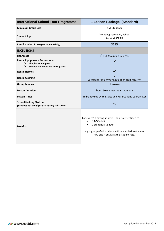| <b>International School Tour Programme</b>                                                                     | 1 Lesson Package (Standard)                                                                                                                                                                                 |  |
|----------------------------------------------------------------------------------------------------------------|-------------------------------------------------------------------------------------------------------------------------------------------------------------------------------------------------------------|--|
| <b>Minimum Group Size</b>                                                                                      | 15+ Students                                                                                                                                                                                                |  |
| <b>Student Age</b>                                                                                             | <b>Attending Secondary School</b><br>11-18 years old                                                                                                                                                        |  |
| Retail Student Price (per day in NZD\$)                                                                        | \$115                                                                                                                                                                                                       |  |
| <b>INCLUSIONS</b>                                                                                              |                                                                                                                                                                                                             |  |
| <b>Lift Access</b>                                                                                             | <b>Full Mountain Day Pass</b><br>✔                                                                                                                                                                          |  |
| <b>Rental Equipment - Recreational</b><br>Skis, boots and poles<br>≻<br>Snowboard, boots and wrist guards<br>≻ | ✓                                                                                                                                                                                                           |  |
| <b>Rental Helmet</b>                                                                                           | ✓                                                                                                                                                                                                           |  |
| <b>Rental Clothing</b>                                                                                         | $\mathbf{x}$<br>Jacket and Pants hire available at an additional cost                                                                                                                                       |  |
| <b>Group Lessons</b>                                                                                           | 1 lesson                                                                                                                                                                                                    |  |
| <b>Lesson Duration</b>                                                                                         | 1 hour, 50 minutes at all mountains                                                                                                                                                                         |  |
| <b>Lesson Times</b>                                                                                            | To be advised by the Sales and Reservations Coordinator                                                                                                                                                     |  |
| <b>School Holiday Blackout</b><br>(product not valid for use during this time)                                 | <b>NO</b>                                                                                                                                                                                                   |  |
| <b>Benefits</b>                                                                                                | For every 10 paying students, adults are entitled to:<br>1 FOC adult<br>п<br>1 student rate adult<br>п<br>e.g. a group of 44 students will be entitled to 4 adults<br>FOC and 4 adults at the student rate. |  |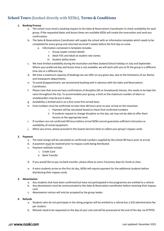# **School Tours** (booked directly with NZSki), **Terms & Conditions**

# **1. Booking Process**

- a. The school must email a booking request to the Sales & Reservations Coordinator to check availability for each group. If the requested dates and lesson times are available NZSki will create the reservation and send you confirmation.
- b. The Sales & Reservations Coordinator will supply the school with an information template which needs to be completed for every group and returned via email 2 weeks before the first day on snow.
	- a. Information contained in template includes;
		- i. Group Leader contact details
		- ii. Adult FOC and Adult at student rate names
		- iii. Student ability levels
- c. We have limited availability during the Australian and New Zealand School holidays in July and September. Where your preferred day and lesson time is not available; we will work with you to fit the group in a different time slot or a different day.
- d. We have a maximum capacity of bookings we can offer on any given day, due to the limitations of our Rental and Snowsports departments.
- e. To avoid disappointment, we recommend booking well in advance with the Sales and Reservations Coordinator.
- f. Please note that once we have confirmation of discipline (Ski or Snowboard) choices, this needs to be kept the same throughout the trip. To accommodate your group, a limit on the maximum number of skiers or snowboarders may be put in place.
- g. Availability is limited and is on a first come first served basis
- h. Final numbers must be confirmed no later than 48 hours prior to your arrival on the mountain.
	- i. Payment will be calculated based on these final confirmed numbers
	- ii. If students request to change discipline on the day, we may not be able to offer them lessons at the appropriate level.
- i. If numbers are not confirmed 48 hours before arrival NZSki cannot guarantee sufficient instructors or availability of rental equipment.
- j. When you arrive, please proceed to the Guests Services Desk to collect your group's mypass cards.

# **2. Payment**

- a. The total charge will be calculated on confirmed numbers supplied by the school 48 hours prior to arrival.
- b. A payment must be received prior to mypass cards being distributed.
- c. Payment methods include:
	- i. Credit Card
	- ii. Bank Transfer
- d. If you would like to pay via bank transfer, please allow an extra 3 business days for funds to clear.
- e. If extra students arrive on the first ski day, NZSki will require payment for the additional students before distributing their mypass cards.

# **3. Absenteeism**

- a. Any students that have been confirmed but have not participated in the programme are entitled to a refund.
- b. Any absenteeism must be communicated to the Sales & Reservation coordinator before receiving their mypass card.
- c. Absenteeism notices will only be accepted by the group leader.

# **4. Refunds**

- a. Students who do not participate in the skiing program will be entitled to a refund less a \$10 administrative fee per student.
- b. Refunds need to be requested on the day of your visit and will be processed at the end of the day via EFTPOS.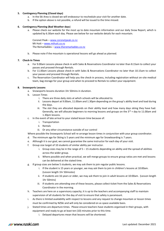# **5. Contingency Planning (Closed days)**

- a. In the Ski Area is closed we will endeavour to reschedule your visit for another date.
- b. If the option above is not possible, a refund will be issued to the time missed.

### **6. Contingency Planning (Bad Weather days**)

a. Please check our website for the most up to date mountain information and our daily Snow Report, which is updated by 6.30am each day. Please see below for our website details for each mountain.

Coronet Peak – [www.coronetpeak.co.nz](http://www.coronetpeak.co.nz/) Mt Hutt – [www.mthutt.co.nz](http://www.mthutt.co.nz/) The Remarkables – [www.theremarkables.co.nz](http://www.theremarkables.co.nz/)

b. Please note if the mountain is operational lessons will go ahead as planned.

#### **7. Check-In Times**

- a. For 9.00am Lessons please check-in with Sales & Reservations Coordinator no later than 8.15am to collect your passes and proceed through Rentals.
- b. For 11.00am Lessons please check-in with Sales & Reservations Coordinator no later than 10.15am to collect your passes and proceed through Rentals.
- c. The Reservation Coordinator will help you the check-in process, including registration without on-site medical team, bag storage for your group and when to proceed to Rentals to collect your equipment.

#### **8. Snowsports Lessons**

- a. Snowsports lessons duration 1hr 50mins in duration.
- b. Lesson Times
	- i. There are three daily slots at which schools will be allocated to.
	- ii. Lessons depart at 9.00am, 11.00am and 1.30pm depending on the group's ability level and load during the days.
	- iii. The slot they are allocated depends on their ability level and how many days skiing they have had. Generally, we will allocate beginners to morning lessons and groups on the  $3^{rd}$  + day to 11.00am and 1.30pm lessons.
- c. In the event of late arrival to your stated lesson time because of:
	- i. Transportation
	- ii. Rentals
	- iii. Or any other circumstance outside of our control
- Where possible the Snowsports School will re-arrange lesson times in conjunction with your group coordinator.
- d. The minimum age for Skiing is 5 years and the minimum age for Snowboarding is 7 years.
- e. Although it is our goal, we cannot guarantee the same instructor for each day of your visit.
- f. Group size target of 10 students of similar ability per instructor.
	- i. Group sizes may be in the range of  $5 15$  students depending on ability and the spread of abilities across the wider group.
	- ii. Where possible and when practical, we will merge groups to ensure group ratios are met and lessons can be delivered at the stated time.
- g. If group sizes are below 5 students, we may ask them to join regular public lessons.
	- i. If the student is 15 years or younger, we may ask them to join in children's lessons at 10:00am. (Lesson length 1hr 50miutes)
	- ii. If students are 16 years or older, we may ask them to join in adult lessons at 10:00am. (Lesson length 1hr 50mins)
	- iii. If students are attending one of these lessons, please collect ticket from the Sales & Reservations Coordinator in the morning.
- h. Teachers are here on a supervisory capacity; it is up to the teachers and accompanying staff to maintain supervision of all students for the day of visit to ensure that safety is paramount.
- i. As there is limited availability with respect to lessons and any request to change mountain or lesson times must be confirmed by NZSki and will only be considered on as space available basis.
- j. Stated times are departure times. Please ensure teachers have students organised in their groups, with equipment and ready to go at least ten (10) minutes prior to this time.
	- i. Delayed departures mean that lessons will be shortened.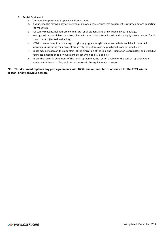## **9. Rental Equipment**

- a. Our Rental Department is open daily from 8.15am.
- b. If your school is having a day off between ski days, please ensure that equipment is returned before departing the mountain.
- c. For safety reasons, helmets are compulsory for all students and are included in your package.
- d. Wrist guards are available at no extra charge for those hiring Snowboards and are highly recommended for all snowboarders (limited availability).
- e. NZSki ski areas do not have waterproof gloves, goggles, sunglasses, or warm hats available for rent. All individuals must bring their own, alternatively these items can be purchased from our retail stores.
- f. Boots may be taken off the mountain, at the discretion of the Sale and Reservation Coordinator, and stored at your accommodation to dry overnight except when point 7b applies
- g. As per the Terms & Conditions of the rental agreement, the renter is liable for the cost of replacement if equipment is lost or stolen, and the cost to repair the equipment if damaged.

# **NB: This document replaces any past agreements with NZSki and outlines terms of service for the 2021 winter season, or any previous season.**